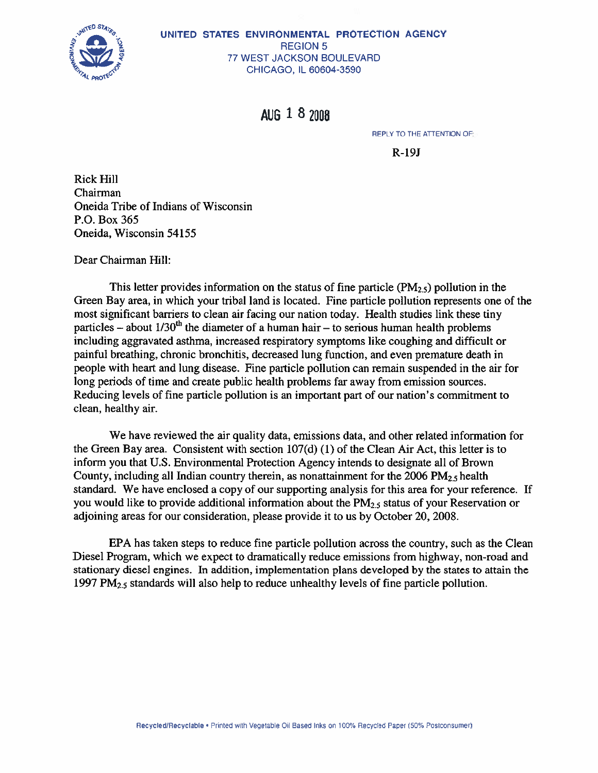

#### UNITED STATES ENVIRONMENTAL PROTECTION AGENCY **REGION 5** 77 WEST JACKSON BOULEVARD CHICAGO, IL 60604-3590

**AUG 1 8 2008** 

**REPLY TO THE ATTENTION OF:** 

 $R-19J$ 

**Rick Hill** Chairman Oneida Tribe of Indians of Wisconsin P.O. Box 365 Oneida, Wisconsin 54155

Dear Chairman Hill:

This letter provides information on the status of fine particle  $(PM_{2.5})$  pollution in the Green Bay area, in which your tribal land is located. Fine particle pollution represents one of the most significant barriers to clean air facing our nation today. Health studies link these tiny particles – about  $1/30^{th}$  the diameter of a human hair – to serious human health problems including aggravated asthma, increased respiratory symptoms like coughing and difficult or painful breathing, chronic bronchitis, decreased lung function, and even premature death in people with heart and lung disease. Fine particle pollution can remain suspended in the air for long periods of time and create public health problems far away from emission sources. Reducing levels of fine particle pollution is an important part of our nation's commitment to clean, healthy air.

We have reviewed the air quality data, emissions data, and other related information for the Green Bay area. Consistent with section  $107(d)$  (1) of the Clean Air Act, this letter is to inform you that U.S. Environmental Protection Agency intends to designate all of Brown County, including all Indian country therein, as nonattainment for the  $2006 \text{ PM}_{2.5}$  health standard. We have enclosed a copy of our supporting analysis for this area for your reference. If you would like to provide additional information about the  $PM_{2.5}$  status of your Reservation or adjoining areas for our consideration, please provide it to us by October 20, 2008.

EPA has taken steps to reduce fine particle pollution across the country, such as the Clean Diesel Program, which we expect to dramatically reduce emissions from highway, non-road and stationary diesel engines. In addition, implementation plans developed by the states to attain the 1997  $PM_{2.5}$  standards will also help to reduce unhealthy levels of fine particle pollution.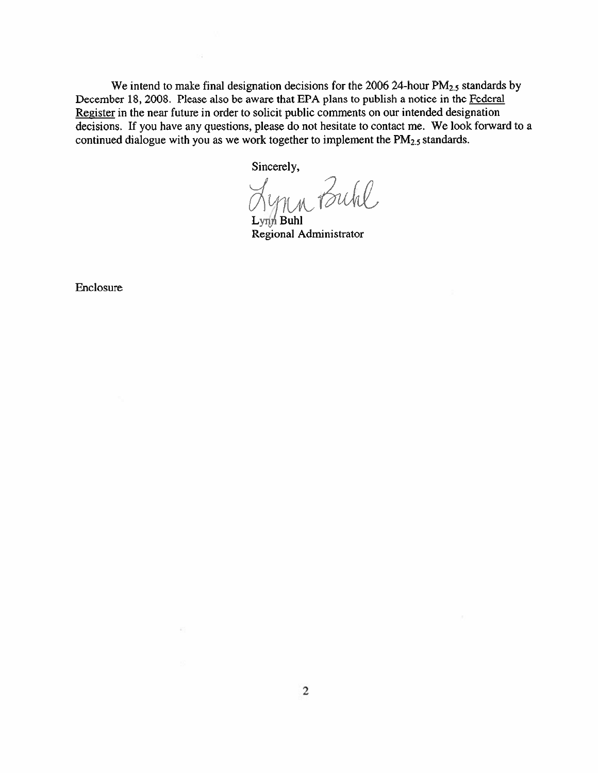We intend to make final designation decisions for the 2006 24-hour  $PM_{2.5}$  standards by December 18, 2008. Please also be aware that EPA plans to publish a notice in the Federal Register in the near future in order to solicit public comments on our intended designation decisions. If you have any questions, please do not hesitate to contact me. We look forward to a continued dialogue with you as we work together to implement the  $PM_{2.5}$  standards.

Sincerely,

Lynn Buhl

Lynn Buhl Regional Administrator

Enclosure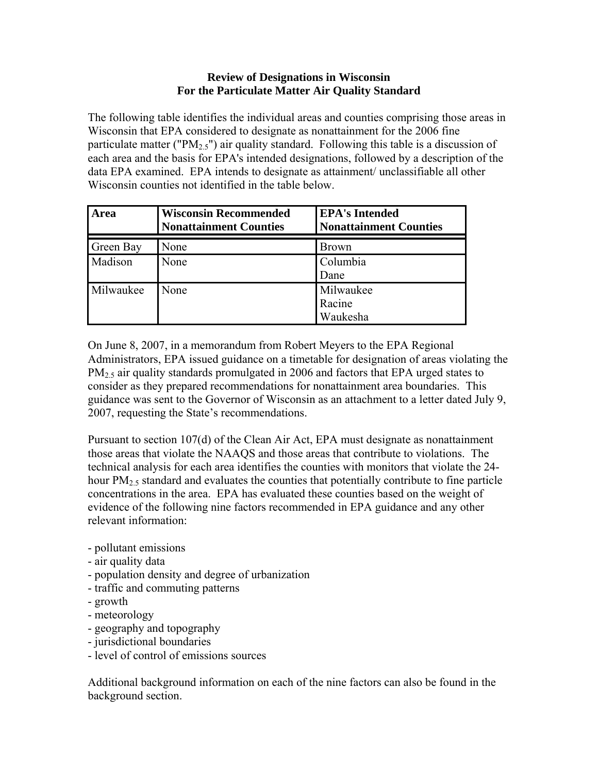#### **Review of Designations in Wisconsin For the Particulate Matter Air Quality Standard**

The following table identifies the individual areas and counties comprising those areas in Wisconsin that EPA considered to designate as nonattainment for the 2006 fine particulate matter (" $PM_{2.5}$ ") air quality standard. Following this table is a discussion of each area and the basis for EPA's intended designations, followed by a description of the data EPA examined. EPA intends to designate as attainment/ unclassifiable all other Wisconsin counties not identified in the table below.

| Area      | <b>Wisconsin Recommended</b><br><b>Nonattainment Counties</b> | <b>EPA's Intended</b><br><b>Nonattainment Counties</b> |
|-----------|---------------------------------------------------------------|--------------------------------------------------------|
| Green Bay | None                                                          | <b>Brown</b>                                           |
| Madison   | None                                                          | Columbia<br>Dane                                       |
| Milwaukee | None                                                          | Milwaukee<br>Racine<br>Waukesha                        |

On June 8, 2007, in a memorandum from Robert Meyers to the EPA Regional Administrators, EPA issued guidance on a timetable for designation of areas violating the  $PM<sub>2.5</sub>$  air quality standards promulgated in 2006 and factors that EPA urged states to consider as they prepared recommendations for nonattainment area boundaries. This guidance was sent to the Governor of Wisconsin as an attachment to a letter dated July 9, 2007, requesting the State's recommendations.

Pursuant to section 107(d) of the Clean Air Act, EPA must designate as nonattainment those areas that violate the NAAQS and those areas that contribute to violations. The technical analysis for each area identifies the counties with monitors that violate the 24 hour  $PM<sub>2.5</sub>$  standard and evaluates the counties that potentially contribute to fine particle concentrations in the area. EPA has evaluated these counties based on the weight of evidence of the following nine factors recommended in EPA guidance and any other relevant information:

- pollutant emissions
- air quality data
- population density and degree of urbanization
- traffic and commuting patterns
- growth
- meteorology
- geography and topography
- jurisdictional boundaries
- level of control of emissions sources

Additional background information on each of the nine factors can also be found in the background section.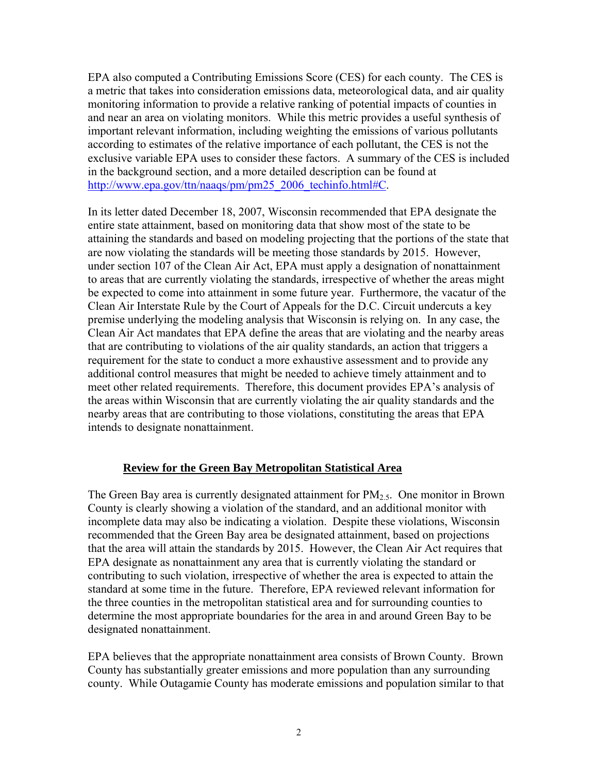EPA also computed a Contributing Emissions Score (CES) for each county. The CES is a metric that takes into consideration emissions data, meteorological data, and air quality monitoring information to provide a relative ranking of potential impacts of counties in and near an area on violating monitors. While this metric provides a useful synthesis of important relevant information, including weighting the emissions of various pollutants according to estimates of the relative importance of each pollutant, the CES is not the exclusive variable EPA uses to consider these factors. A summary of the CES is included in the background section, and a more detailed description can be found at http://www.epa.gov/ttn/naaqs/pm/pm25\_2006\_techinfo.html#C.

In its letter dated December 18, 2007, Wisconsin recommended that EPA designate the entire state attainment, based on monitoring data that show most of the state to be attaining the standards and based on modeling projecting that the portions of the state that are now violating the standards will be meeting those standards by 2015. However, under section 107 of the Clean Air Act, EPA must apply a designation of nonattainment to areas that are currently violating the standards, irrespective of whether the areas might be expected to come into attainment in some future year. Furthermore, the vacatur of the Clean Air Interstate Rule by the Court of Appeals for the D.C. Circuit undercuts a key premise underlying the modeling analysis that Wisconsin is relying on. In any case, the Clean Air Act mandates that EPA define the areas that are violating and the nearby areas that are contributing to violations of the air quality standards, an action that triggers a requirement for the state to conduct a more exhaustive assessment and to provide any additional control measures that might be needed to achieve timely attainment and to meet other related requirements. Therefore, this document provides EPA's analysis of the areas within Wisconsin that are currently violating the air quality standards and the nearby areas that are contributing to those violations, constituting the areas that EPA intends to designate nonattainment.

### **Review for the Green Bay Metropolitan Statistical Area**

The Green Bay area is currently designated attainment for  $PM_{2.5}$ . One monitor in Brown County is clearly showing a violation of the standard, and an additional monitor with incomplete data may also be indicating a violation. Despite these violations, Wisconsin recommended that the Green Bay area be designated attainment, based on projections that the area will attain the standards by 2015. However, the Clean Air Act requires that EPA designate as nonattainment any area that is currently violating the standard or contributing to such violation, irrespective of whether the area is expected to attain the standard at some time in the future. Therefore, EPA reviewed relevant information for the three counties in the metropolitan statistical area and for surrounding counties to determine the most appropriate boundaries for the area in and around Green Bay to be designated nonattainment.

EPA believes that the appropriate nonattainment area consists of Brown County. Brown County has substantially greater emissions and more population than any surrounding county. While Outagamie County has moderate emissions and population similar to that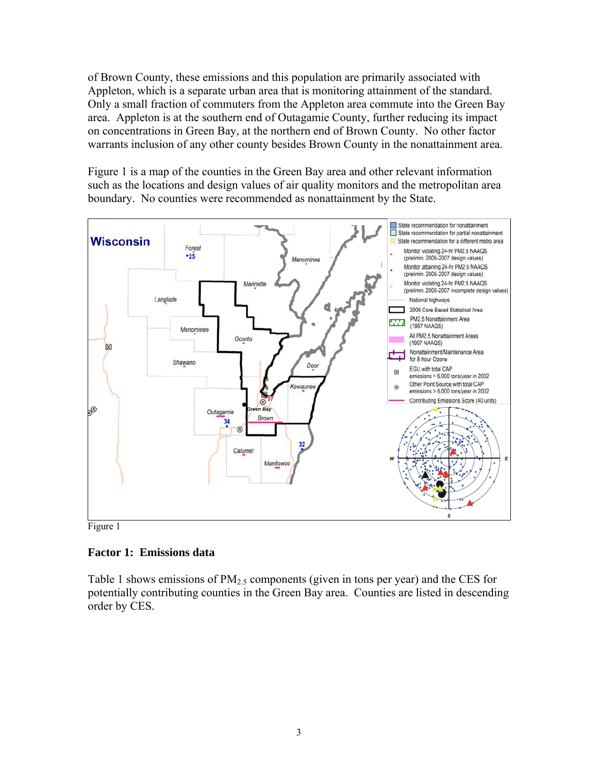of Brown County, these emissions and this population are primarily associated with Appleton, which is a separate urban area that is monitoring attainment of the standard. Only a small fraction of commuters from the Appleton area commute into the Green Bay area. Appleton is at the southern end of Outagamie County, further reducing its impact on concentrations in Green Bay, at the northern end of Brown County. No other factor warrants inclusion of any other county besides Brown County in the nonattainment area.

Figure 1 is a map of the counties in the Green Bay area and other relevant information such as the locations and design values of air quality monitors and the metropolitan area boundary. No counties were recommended as nonattainment by the State.



Figure 1

### **Factor 1: Emissions data**

Table 1 shows emissions of  $PM_{2.5}$  components (given in tons per year) and the CES for potentially contributing counties in the Green Bay area. Counties are listed in descending order by CES.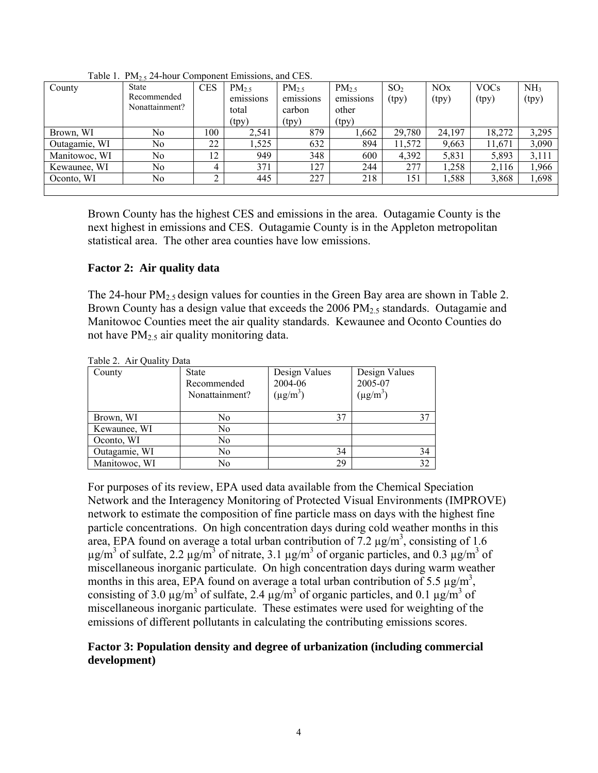| County        | <b>State</b>   | <b>CES</b> | $PM_{2.5}$ | $PM_{2.5}$ | $PM_{2.5}$ | SO <sub>2</sub> | NOx    | <b>VOCs</b> | NH <sub>3</sub> |
|---------------|----------------|------------|------------|------------|------------|-----------------|--------|-------------|-----------------|
|               | Recommended    |            | emissions  | emissions  | emissions  | (tpy)           | (tpy)  | (tpy)       | (tpy)           |
|               | Nonattainment? |            | total      | carbon     | other      |                 |        |             |                 |
|               |                |            | (tpy)      | (tpy)      | (tpy)      |                 |        |             |                 |
| Brown, WI     | No             | 100        | 2,541      | 879        | .662       | 29,780          | 24,197 | 18,272      | 3,295           |
| Outagamie, WI | No             | 22         | ,525       | 632        | 894        | 11,572          | 9,663  | 11,671      | 3,090           |
| Manitowoc, WI | No             | 12         | 949        | 348        | 600        | 4,392           | 5,831  | 5,893       | 3,111           |
| Kewaunee, WI  | No             | 4          | 371        | 127        | 244        | 277             | 1,258  | 2,116       | 1,966           |
| Oconto, WI    | No             | ◠          | 445        | 227        | 218        | 151             | 1,588  | 3,868       | 1,698           |
|               |                |            |            |            |            |                 |        |             |                 |

Table 1.  $PM_2$ , 24-hour Component Emissions, and CES.

Brown County has the highest CES and emissions in the area. Outagamie County is the next highest in emissions and CES. Outagamie County is in the Appleton metropolitan statistical area. The other area counties have low emissions.

#### **Factor 2: Air quality data**

The 24-hour  $PM_{2.5}$  design values for counties in the Green Bay area are shown in Table 2. Brown County has a design value that exceeds the 2006  $PM<sub>2.5</sub>$  standards. Outagamie and Manitowoc Counties meet the air quality standards. Kewaunee and Oconto Counties do not have  $PM<sub>2.5</sub>$  air quality monitoring data.

| $10010 = 1111$ |                |               |               |  |  |  |  |  |
|----------------|----------------|---------------|---------------|--|--|--|--|--|
| County         | <b>State</b>   | Design Values | Design Values |  |  |  |  |  |
|                | Recommended    | 2004-06       | 2005-07       |  |  |  |  |  |
|                | Nonattainment? | $(\mu g/m^3)$ | $(\mu g/m^3)$ |  |  |  |  |  |
|                |                |               |               |  |  |  |  |  |
| Brown, WI      | No             | 37            |               |  |  |  |  |  |
| Kewaunee, WI   | No             |               |               |  |  |  |  |  |
| Oconto, WI     | No             |               |               |  |  |  |  |  |
| Outagamie, WI  | No             | 34            | 34            |  |  |  |  |  |
| Manitowoc, WI  | No             | 29            | 32            |  |  |  |  |  |

Table 2. Air Quality Data

For purposes of its review, EPA used data available from the Chemical Speciation Network and the Interagency Monitoring of Protected Visual Environments (IMPROVE) network to estimate the composition of fine particle mass on days with the highest fine particle concentrations. On high concentration days during cold weather months in this area, EPA found on average a total urban contribution of  $7.2 \mu g/m^3$ , consisting of 1.6  $\mu$ g/m<sup>3</sup> of sulfate, 2.2  $\mu$ g/m<sup>3</sup> of nitrate, 3.1  $\mu$ g/m<sup>3</sup> of organic particles, and 0.3  $\mu$ g/m<sup>3</sup> of miscellaneous inorganic particulate. On high concentration days during warm weather months in this area, EPA found on average a total urban contribution of 5.5  $\mu$ g/m<sup>3</sup>, consisting of 3.0  $\mu$ g/m<sup>3</sup> of sulfate, 2.4  $\mu$ g/m<sup>3</sup> of organic particles, and 0.1  $\mu$ g/m<sup>3</sup> of miscellaneous inorganic particulate. These estimates were used for weighting of the emissions of different pollutants in calculating the contributing emissions scores.

#### **Factor 3: Population density and degree of urbanization (including commercial development)**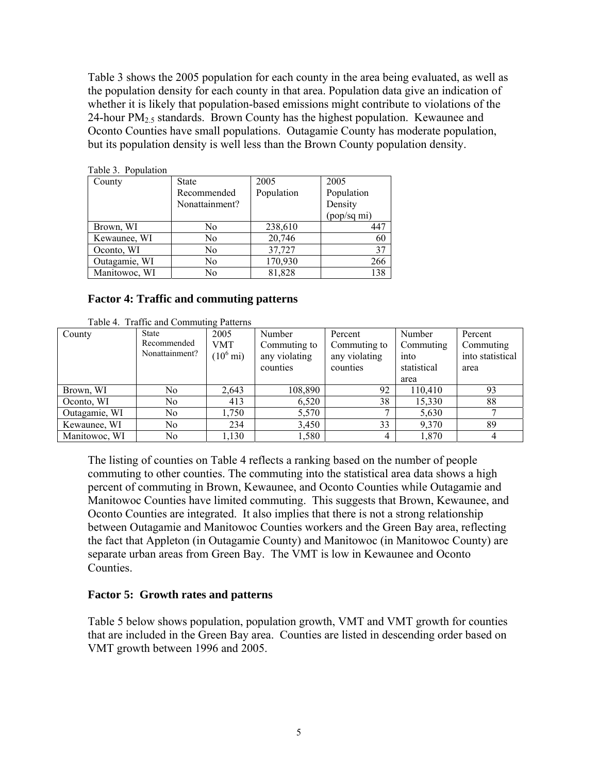Table 3 shows the 2005 population for each county in the area being evaluated, as well as the population density for each county in that area. Population data give an indication of whether it is likely that population-based emissions might contribute to violations of the 24-hour  $PM<sub>2.5</sub>$  standards. Brown County has the highest population. Kewaunee and Oconto Counties have small populations. Outagamie County has moderate population, but its population density is well less than the Brown County population density.

| $100103$ . I optimized |                |            |             |  |
|------------------------|----------------|------------|-------------|--|
| County                 | <b>State</b>   | 2005       | 2005        |  |
|                        | Recommended    | Population | Population  |  |
|                        | Nonattainment? |            | Density     |  |
|                        |                |            | (pop/sq mi) |  |
| Brown, WI              | No.            | 238,610    | 447         |  |
| Kewaunee, WI           | No.            | 20,746     | 60          |  |
| Oconto, WI             | No.            | 37,727     | 37          |  |
| Outagamie, WI          | No             | 170,930    | 266         |  |
| Manitowoc, WI          | No             | 81,828     | 138         |  |

Table 3. Population

#### **Factor 4: Traffic and commuting patterns**

|               | Table 4. Traffic and Commuting Patterns |                     |               |               |             |                  |
|---------------|-----------------------------------------|---------------------|---------------|---------------|-------------|------------------|
| County        | <b>State</b>                            | 2005                | Number        | Percent       | Number      | Percent          |
|               | Recommended                             | <b>VMT</b>          | Commuting to  | Commuting to  | Commuting   | Commuting        |
|               | Nonattainment?                          | $(10^6 \text{ mi})$ | any violating | any violating | into        | into statistical |
|               |                                         |                     | counties      | counties      | statistical | area             |
|               |                                         |                     |               |               | area        |                  |
| Brown, WI     | No.                                     | 2,643               | 108,890       | 92            | 110,410     | 93               |
| Oconto, WI    | No                                      | 413                 | 6,520         | 38            | 15,330      | 88               |
| Outagamie, WI | N <sub>0</sub>                          | 1,750               | 5,570         |               | 5,630       |                  |
| Kewaunee, WI  | No.                                     | 234                 | 3,450         | 33            | 9,370       | 89               |
| Manitowoc, WI | No.                                     | 1,130               | 1,580         | 4             | 1,870       | 4                |

The listing of counties on Table 4 reflects a ranking based on the number of people commuting to other counties. The commuting into the statistical area data shows a high percent of commuting in Brown, Kewaunee, and Oconto Counties while Outagamie and Manitowoc Counties have limited commuting. This suggests that Brown, Kewaunee, and Oconto Counties are integrated. It also implies that there is not a strong relationship between Outagamie and Manitowoc Counties workers and the Green Bay area, reflecting the fact that Appleton (in Outagamie County) and Manitowoc (in Manitowoc County) are separate urban areas from Green Bay. The VMT is low in Kewaunee and Oconto **Counties** 

#### **Factor 5: Growth rates and patterns**

Table 5 below shows population, population growth, VMT and VMT growth for counties that are included in the Green Bay area. Counties are listed in descending order based on VMT growth between 1996 and 2005.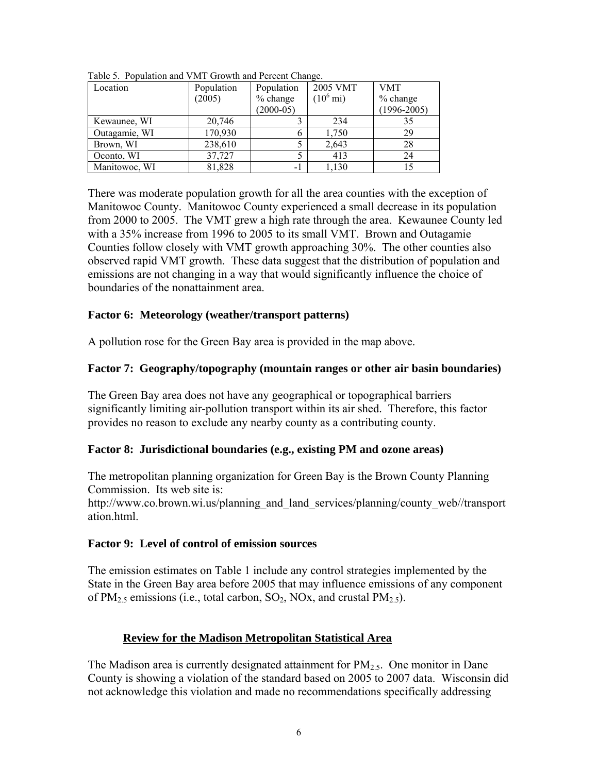| Location      | Population | Population  | 2005 VMT            | <b>VMT</b>      |
|---------------|------------|-------------|---------------------|-----------------|
|               | (2005)     | % change    | $(10^6 \text{ mi})$ | $%$ change      |
|               |            | $(2000-05)$ |                     | $(1996 - 2005)$ |
| Kewaunee, WI  | 20,746     |             | 234                 | 35              |
| Outagamie, WI | 170,930    |             | 1,750               | 29              |
| Brown, WI     | 238,610    |             | 2,643               | 28              |
| Oconto, WI    | 37,727     |             | 413                 | 24              |
| Manitowoc, WI | 81,828     | -1          | 1,130               |                 |

Table 5. Population and VMT Growth and Percent Change.

There was moderate population growth for all the area counties with the exception of Manitowoc County. Manitowoc County experienced a small decrease in its population from 2000 to 2005. The VMT grew a high rate through the area. Kewaunee County led with a 35% increase from 1996 to 2005 to its small VMT. Brown and Outagamie Counties follow closely with VMT growth approaching 30%. The other counties also observed rapid VMT growth. These data suggest that the distribution of population and emissions are not changing in a way that would significantly influence the choice of boundaries of the nonattainment area.

#### **Factor 6: Meteorology (weather/transport patterns)**

A pollution rose for the Green Bay area is provided in the map above.

### **Factor 7: Geography/topography (mountain ranges or other air basin boundaries)**

The Green Bay area does not have any geographical or topographical barriers significantly limiting air-pollution transport within its air shed. Therefore, this factor provides no reason to exclude any nearby county as a contributing county.

### **Factor 8: Jurisdictional boundaries (e.g., existing PM and ozone areas)**

The metropolitan planning organization for Green Bay is the Brown County Planning Commission. Its web site is:

http://www.co.brown.wi.us/planning\_and\_land\_services/planning/county\_web//transport ation.html.

### **Factor 9: Level of control of emission sources**

The emission estimates on Table 1 include any control strategies implemented by the State in the Green Bay area before 2005 that may influence emissions of any component of PM<sub>2.5</sub> emissions (i.e., total carbon, SO<sub>2</sub>, NO<sub>x</sub>, and crustal PM<sub>2.5</sub>).

### **Review for the Madison Metropolitan Statistical Area**

The Madison area is currently designated attainment for  $PM_{2.5}$ . One monitor in Dane County is showing a violation of the standard based on 2005 to 2007 data. Wisconsin did not acknowledge this violation and made no recommendations specifically addressing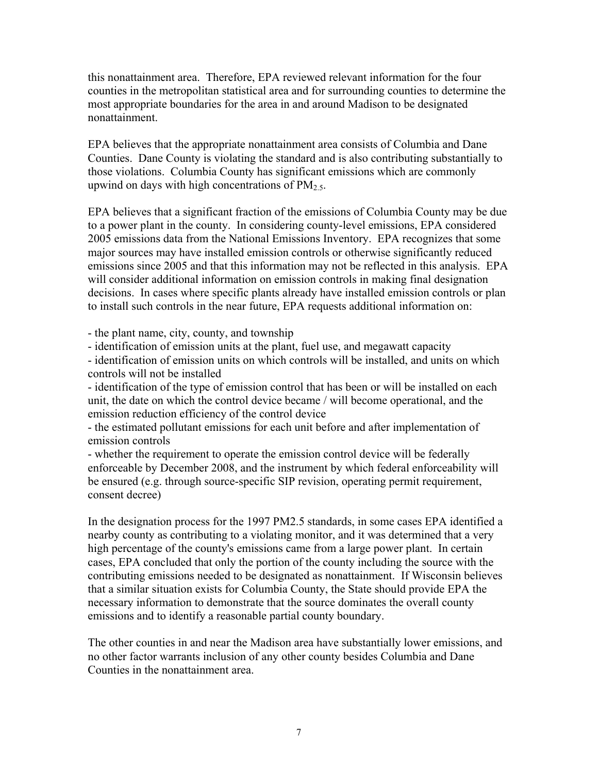this nonattainment area. Therefore, EPA reviewed relevant information for the four counties in the metropolitan statistical area and for surrounding counties to determine the most appropriate boundaries for the area in and around Madison to be designated nonattainment.

EPA believes that the appropriate nonattainment area consists of Columbia and Dane Counties. Dane County is violating the standard and is also contributing substantially to those violations. Columbia County has significant emissions which are commonly upwind on days with high concentrations of  $PM<sub>2.5</sub>$ .

EPA believes that a significant fraction of the emissions of Columbia County may be due to a power plant in the county. In considering county-level emissions, EPA considered 2005 emissions data from the National Emissions Inventory. EPA recognizes that some major sources may have installed emission controls or otherwise significantly reduced emissions since 2005 and that this information may not be reflected in this analysis. EPA will consider additional information on emission controls in making final designation decisions. In cases where specific plants already have installed emission controls or plan to install such controls in the near future, EPA requests additional information on:

- the plant name, city, county, and township

- identification of emission units at the plant, fuel use, and megawatt capacity

- identification of emission units on which controls will be installed, and units on which controls will not be installed

- identification of the type of emission control that has been or will be installed on each unit, the date on which the control device became / will become operational, and the emission reduction efficiency of the control device

- the estimated pollutant emissions for each unit before and after implementation of emission controls

- whether the requirement to operate the emission control device will be federally enforceable by December 2008, and the instrument by which federal enforceability will be ensured (e.g. through source-specific SIP revision, operating permit requirement, consent decree)

In the designation process for the 1997 PM2.5 standards, in some cases EPA identified a nearby county as contributing to a violating monitor, and it was determined that a very high percentage of the county's emissions came from a large power plant. In certain cases, EPA concluded that only the portion of the county including the source with the contributing emissions needed to be designated as nonattainment. If Wisconsin believes that a similar situation exists for Columbia County, the State should provide EPA the necessary information to demonstrate that the source dominates the overall county emissions and to identify a reasonable partial county boundary.

The other counties in and near the Madison area have substantially lower emissions, and no other factor warrants inclusion of any other county besides Columbia and Dane Counties in the nonattainment area.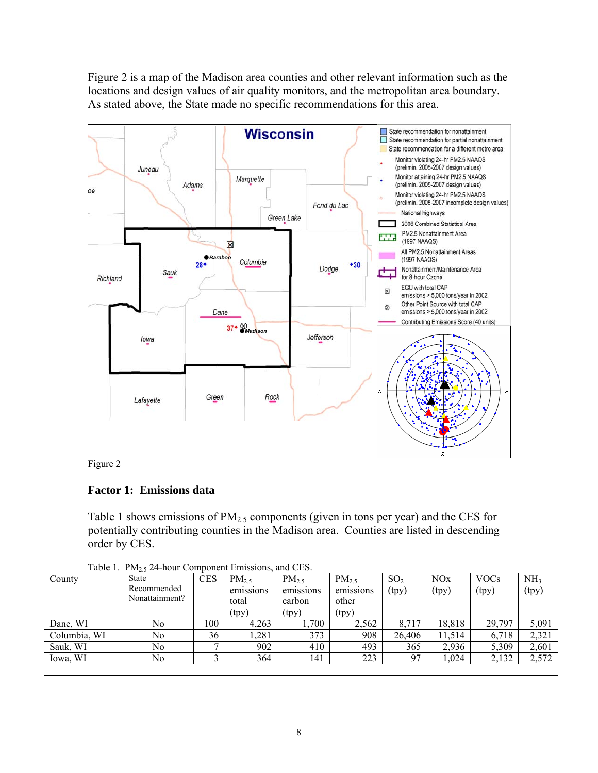Figure 2 is a map of the Madison area counties and other relevant information such as the locations and design values of air quality monitors, and the metropolitan area boundary. As stated above, the State made no specific recommendations for this area.



Figure 2

# **Factor 1: Emissions data**

Table 1 shows emissions of  $PM_{2.5}$  components (given in tons per year) and the CES for potentially contributing counties in the Madison area. Counties are listed in descending order by CES.

| County       | <b>State</b>   | <b>CES</b> | $PM_{2.5}$ | $PM_{2.5}$ | $PM_{2.5}$ | SO <sub>2</sub> | NOx    | <b>VOCs</b> | NH <sub>3</sub> |
|--------------|----------------|------------|------------|------------|------------|-----------------|--------|-------------|-----------------|
|              | Recommended    |            | emissions  | emissions  | emissions  | (tpy)           | (tpy)  | (tpy)       | (tpy)           |
|              | Nonattainment? |            | total      | carbon     | other      |                 |        |             |                 |
|              |                |            | (tpy)      | (tpy)      | (tpy)      |                 |        |             |                 |
| Dane, WI     | No             | 100        | 4,263      | .700       | 2,562      | 8,717           | 18,818 | 29,797      | 5,091           |
| Columbia, WI | No             | 36         | ,281       | 373        | 908        | 26,406          | 11,514 | 6,718       | 2,321           |
| Sauk, WI     | No             | -          | 902        | 410        | 493        | 365             | 2,936  | 5,309       | 2,601           |
| Iowa, WI     | No             |            | 364        | 141        | 223        | 97              | ,024   | 2,132       | 2,572           |
|              |                |            |            |            |            |                 |        |             |                 |

Table 1.  $PM_2$ , 24-hour Component Emissions, and CES.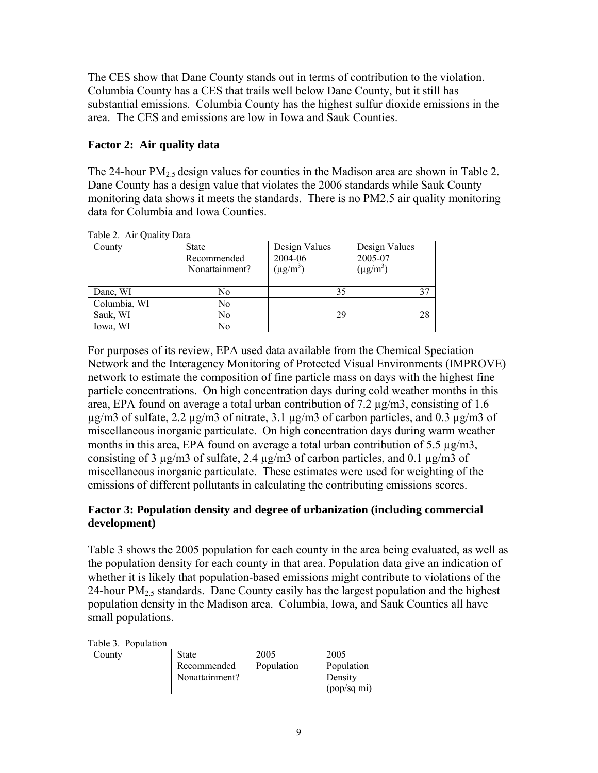The CES show that Dane County stands out in terms of contribution to the violation. Columbia County has a CES that trails well below Dane County, but it still has substantial emissions. Columbia County has the highest sulfur dioxide emissions in the area. The CES and emissions are low in Iowa and Sauk Counties.

## **Factor 2: Air quality data**

The 24-hour  $PM_{2.5}$  design values for counties in the Madison area are shown in Table 2. Dane County has a design value that violates the 2006 standards while Sauk County monitoring data shows it meets the standards. There is no PM2.5 air quality monitoring data for Columbia and Iowa Counties.

| Tavit 2. All Quality Data |                |               |               |  |  |  |  |  |
|---------------------------|----------------|---------------|---------------|--|--|--|--|--|
| County                    | <b>State</b>   | Design Values | Design Values |  |  |  |  |  |
|                           | Recommended    | 2004-06       | 2005-07       |  |  |  |  |  |
|                           | Nonattainment? | $(\mu g/m^3)$ | $(\mu g/m^3)$ |  |  |  |  |  |
|                           |                |               |               |  |  |  |  |  |
| Dane, WI                  | No             | 35            | 37            |  |  |  |  |  |
| Columbia, WI              | No             |               |               |  |  |  |  |  |
| Sauk, WI                  | No             | 29            | 28            |  |  |  |  |  |
| Iowa, WI                  | No             |               |               |  |  |  |  |  |

Table 2. Air Quality Data

For purposes of its review, EPA used data available from the Chemical Speciation Network and the Interagency Monitoring of Protected Visual Environments (IMPROVE) network to estimate the composition of fine particle mass on days with the highest fine particle concentrations. On high concentration days during cold weather months in this area, EPA found on average a total urban contribution of 7.2 µg/m3, consisting of 1.6  $\mu$ g/m3 of sulfate, 2.2  $\mu$ g/m3 of nitrate, 3.1  $\mu$ g/m3 of carbon particles, and 0.3  $\mu$ g/m3 of miscellaneous inorganic particulate. On high concentration days during warm weather months in this area, EPA found on average a total urban contribution of 5.5  $\mu$ g/m3, consisting of 3 µg/m3 of sulfate, 2.4 µg/m3 of carbon particles, and 0.1 µg/m3 of miscellaneous inorganic particulate. These estimates were used for weighting of the emissions of different pollutants in calculating the contributing emissions scores.

### **Factor 3: Population density and degree of urbanization (including commercial development)**

Table 3 shows the 2005 population for each county in the area being evaluated, as well as the population density for each county in that area. Population data give an indication of whether it is likely that population-based emissions might contribute to violations of the 24-hour  $PM<sub>2.5</sub>$  standards. Dane County easily has the largest population and the highest population density in the Madison area. Columbia, Iowa, and Sauk Counties all have small populations.

Table 3. Population

| County | <b>State</b>   | 2005       | 2005        |
|--------|----------------|------------|-------------|
|        | Recommended    | Population | Population  |
|        | Nonattainment? |            | Density     |
|        |                |            | (pop/sq mi) |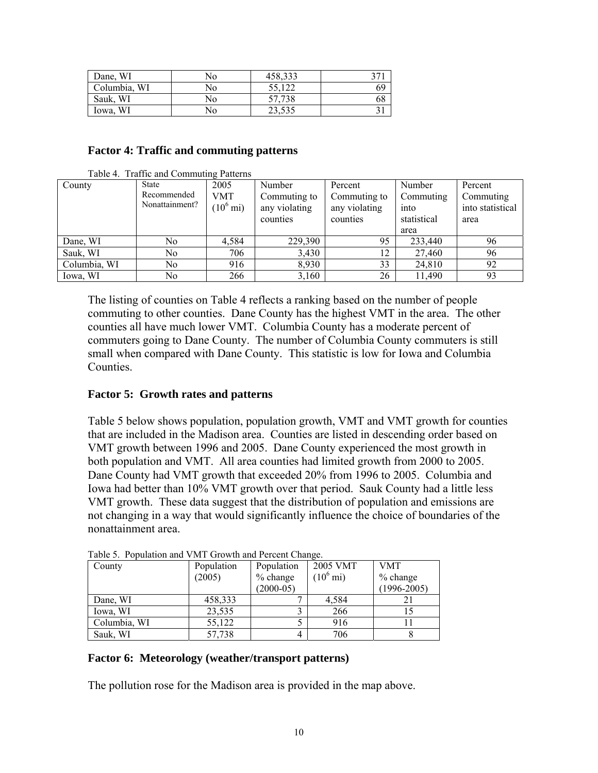| Dane, WI     | No | 458,333 |    |
|--------------|----|---------|----|
| Columbia, WI | No | 55,122  | 69 |
| Sauk, WI     | No | 57,738  | ხŏ |
| Iowa, WI     | No | 23,535  |    |

#### **Factor 4: Traffic and commuting patterns**

| County       | State          | 2005                | Number        | Percent       | Number      | Percent          |
|--------------|----------------|---------------------|---------------|---------------|-------------|------------------|
|              | Recommended    | <b>VMT</b>          | Commuting to  | Commuting to  | Commuting   | Commuting        |
|              | Nonattainment? | $(10^6 \text{ mi})$ | any violating | any violating | into        | into statistical |
|              |                |                     | counties      | counties      | statistical | area             |
|              |                |                     |               |               | area        |                  |
| Dane, WI     | No             | 4.584               | 229,390       | 95            | 233,440     | 96               |
| Sauk, WI     | No             | 706                 | 3,430         | 12            | 27,460      | 96               |
| Columbia, WI | No             | 916                 | 8,930         | 33            | 24,810      | 92               |
| Iowa, WI     | No             | 266                 | 3,160         | 26            | 11,490      | 93               |

Table 4. Traffic and Commuting Patterns

The listing of counties on Table 4 reflects a ranking based on the number of people commuting to other counties. Dane County has the highest VMT in the area. The other counties all have much lower VMT. Columbia County has a moderate percent of commuters going to Dane County. The number of Columbia County commuters is still small when compared with Dane County. This statistic is low for Iowa and Columbia **Counties** 

#### **Factor 5: Growth rates and patterns**

Table 5 below shows population, population growth, VMT and VMT growth for counties that are included in the Madison area. Counties are listed in descending order based on VMT growth between 1996 and 2005. Dane County experienced the most growth in both population and VMT. All area counties had limited growth from 2000 to 2005. Dane County had VMT growth that exceeded 20% from 1996 to 2005. Columbia and Iowa had better than 10% VMT growth over that period. Sauk County had a little less VMT growth. These data suggest that the distribution of population and emissions are not changing in a way that would significantly influence the choice of boundaries of the nonattainment area.

| County       | Population | Population  | 2005 VMT            | <b>VMT</b>      |
|--------------|------------|-------------|---------------------|-----------------|
|              | (2005)     | % change    | $(10^6 \text{ mi})$ | $%$ change      |
|              |            | $(2000-05)$ |                     | $(1996 - 2005)$ |
| Dane, WI     | 458,333    |             | 4,584               |                 |
| Iowa, WI     | 23,535     |             | 266                 |                 |
| Columbia, WI | 55,122     |             | 916                 |                 |
| Sauk, WI     | 57,738     |             | 706                 |                 |

Table 5. Population and VMT Growth and Percent Change.

#### **Factor 6: Meteorology (weather/transport patterns)**

The pollution rose for the Madison area is provided in the map above.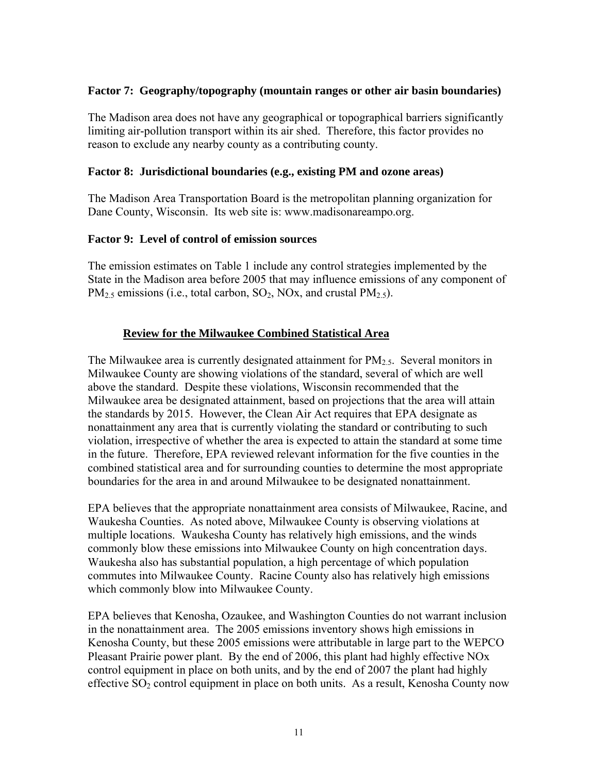#### **Factor 7: Geography/topography (mountain ranges or other air basin boundaries)**

The Madison area does not have any geographical or topographical barriers significantly limiting air-pollution transport within its air shed. Therefore, this factor provides no reason to exclude any nearby county as a contributing county.

#### **Factor 8: Jurisdictional boundaries (e.g., existing PM and ozone areas)**

The Madison Area Transportation Board is the metropolitan planning organization for Dane County, Wisconsin. Its web site is: www.madisonareampo.org.

#### **Factor 9: Level of control of emission sources**

The emission estimates on Table 1 include any control strategies implemented by the State in the Madison area before 2005 that may influence emissions of any component of  $PM<sub>2.5</sub>$  emissions (i.e., total carbon, SO<sub>2</sub>, NOx, and crustal PM<sub>2.5</sub>).

### **Review for the Milwaukee Combined Statistical Area**

The Milwaukee area is currently designated attainment for  $PM<sub>2.5</sub>$ . Several monitors in Milwaukee County are showing violations of the standard, several of which are well above the standard. Despite these violations, Wisconsin recommended that the Milwaukee area be designated attainment, based on projections that the area will attain the standards by 2015. However, the Clean Air Act requires that EPA designate as nonattainment any area that is currently violating the standard or contributing to such violation, irrespective of whether the area is expected to attain the standard at some time in the future. Therefore, EPA reviewed relevant information for the five counties in the combined statistical area and for surrounding counties to determine the most appropriate boundaries for the area in and around Milwaukee to be designated nonattainment.

EPA believes that the appropriate nonattainment area consists of Milwaukee, Racine, and Waukesha Counties. As noted above, Milwaukee County is observing violations at multiple locations. Waukesha County has relatively high emissions, and the winds commonly blow these emissions into Milwaukee County on high concentration days. Waukesha also has substantial population, a high percentage of which population commutes into Milwaukee County. Racine County also has relatively high emissions which commonly blow into Milwaukee County.

EPA believes that Kenosha, Ozaukee, and Washington Counties do not warrant inclusion in the nonattainment area. The 2005 emissions inventory shows high emissions in Kenosha County, but these 2005 emissions were attributable in large part to the WEPCO Pleasant Prairie power plant. By the end of 2006, this plant had highly effective NOx control equipment in place on both units, and by the end of 2007 the plant had highly effective  $SO_2$  control equipment in place on both units. As a result, Kenosha County now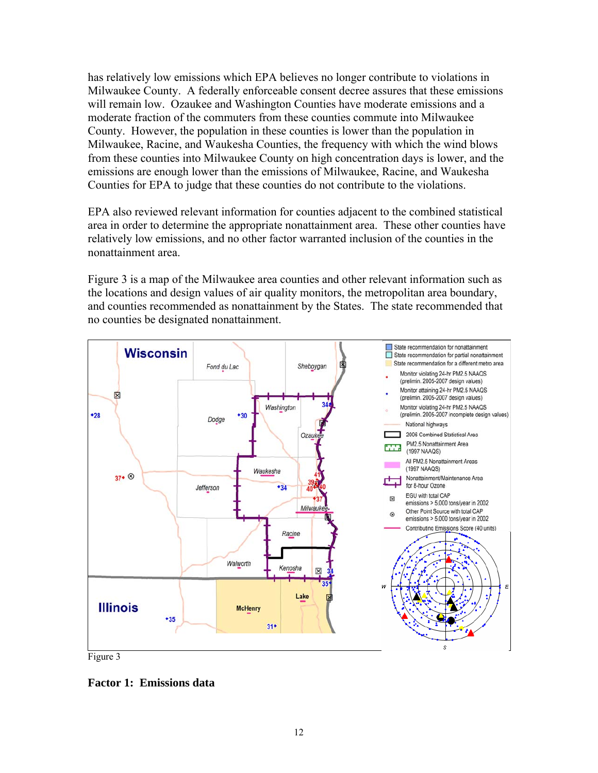has relatively low emissions which EPA believes no longer contribute to violations in Milwaukee County. A federally enforceable consent decree assures that these emissions will remain low. Ozaukee and Washington Counties have moderate emissions and a moderate fraction of the commuters from these counties commute into Milwaukee County. However, the population in these counties is lower than the population in Milwaukee, Racine, and Waukesha Counties, the frequency with which the wind blows from these counties into Milwaukee County on high concentration days is lower, and the emissions are enough lower than the emissions of Milwaukee, Racine, and Waukesha Counties for EPA to judge that these counties do not contribute to the violations.

EPA also reviewed relevant information for counties adjacent to the combined statistical area in order to determine the appropriate nonattainment area. These other counties have relatively low emissions, and no other factor warranted inclusion of the counties in the nonattainment area.

Figure 3 is a map of the Milwaukee area counties and other relevant information such as the locations and design values of air quality monitors, the metropolitan area boundary, and counties recommended as nonattainment by the States. The state recommended that no counties be designated nonattainment.



**Factor 1: Emissions data**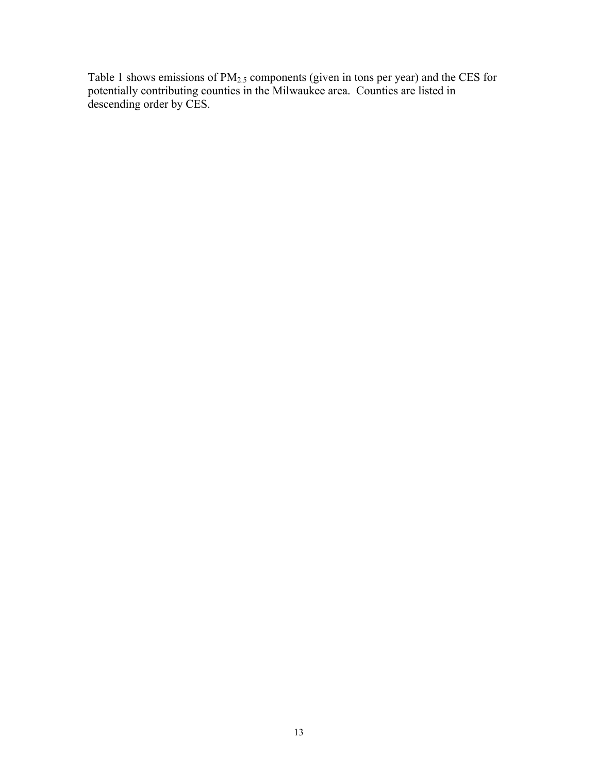Table 1 shows emissions of  $PM_{2.5}$  components (given in tons per year) and the CES for potentially contributing counties in the Milwaukee area. Counties are listed in descending order by CES.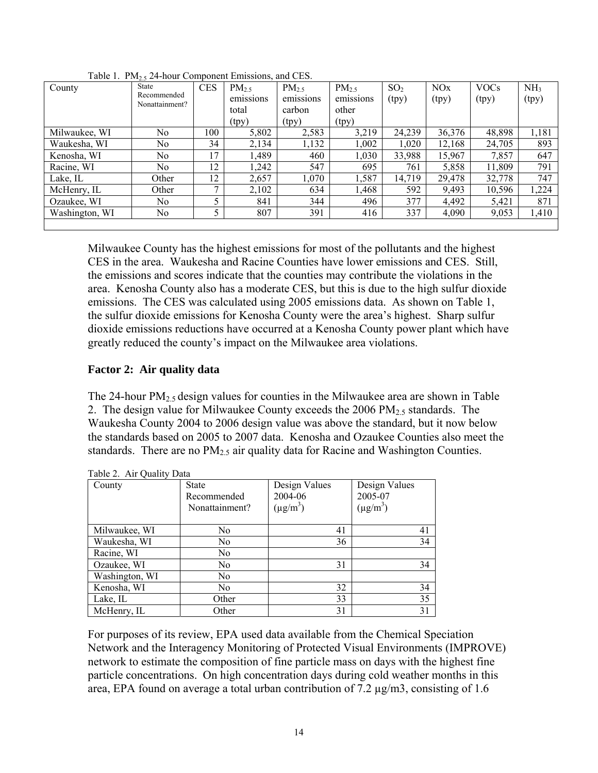| County         | <u></u><br>State<br>Recommended<br>Nonattainment? | <b>CES</b>   | PM <sub>2.5</sub><br>emissions | $PM_{2.5}$<br>emissions | $PM_{2.5}$<br>emissions | SO <sub>2</sub><br>(tpy) | <b>NO<sub>x</sub></b><br>(tpy) | <b>VOCs</b><br>(tpy) | NH <sub>3</sub><br>(tpy) |
|----------------|---------------------------------------------------|--------------|--------------------------------|-------------------------|-------------------------|--------------------------|--------------------------------|----------------------|--------------------------|
|                |                                                   |              | total                          | carbon                  | other                   |                          |                                |                      |                          |
|                |                                                   |              | (tpy)                          | (tpy)                   | (tpy)                   |                          |                                |                      |                          |
| Milwaukee, WI  | No                                                | 100          | 5,802                          | 2,583                   | 3,219                   | 24,239                   | 36,376                         | 48,898               | 1,181                    |
| Waukesha, WI   | No                                                | 34           | 2,134                          | 1,132                   | 1,002                   | 1,020                    | 12,168                         | 24,705               | 893                      |
| Kenosha, WI    | No                                                | 17           | 1,489                          | 460                     | 1,030                   | 33,988                   | 15,967                         | 7,857                | 647                      |
| Racine, WI     | No.                                               | 12           | 1,242                          | 547                     | 695                     | 761                      | 5,858                          | 11,809               | 791                      |
| Lake, IL       | Other                                             | 12           | 2,657                          | 1,070                   | 1,587                   | 14,719                   | 29,478                         | 32,778               | 747                      |
| McHenry, IL    | Other                                             | $\mathbf{r}$ | 2,102                          | 634                     | 1,468                   | 592                      | 9,493                          | 10,596               | 1,224                    |
| Ozaukee, WI    | No                                                |              | 841                            | 344                     | 496                     | 377                      | 4,492                          | 5,421                | 871                      |
| Washington, WI | No                                                |              | 807                            | 391                     | 416                     | 337                      | 4,090                          | 9,053                | 1,410                    |
|                |                                                   |              |                                |                         |                         |                          |                                |                      |                          |

Table 1.  $PM_2$ , 24-hour Component Emissions, and CES.

Milwaukee County has the highest emissions for most of the pollutants and the highest CES in the area. Waukesha and Racine Counties have lower emissions and CES. Still, the emissions and scores indicate that the counties may contribute the violations in the area. Kenosha County also has a moderate CES, but this is due to the high sulfur dioxide emissions. The CES was calculated using 2005 emissions data. As shown on Table 1, the sulfur dioxide emissions for Kenosha County were the area's highest. Sharp sulfur dioxide emissions reductions have occurred at a Kenosha County power plant which have greatly reduced the county's impact on the Milwaukee area violations.

### **Factor 2: Air quality data**

The 24-hour  $PM_{2.5}$  design values for counties in the Milwaukee area are shown in Table 2. The design value for Milwaukee County exceeds the  $2006 \text{ PM}_{2.5}$  standards. The Waukesha County 2004 to 2006 design value was above the standard, but it now below the standards based on 2005 to 2007 data. Kenosha and Ozaukee Counties also meet the standards. There are no PM<sub>2.5</sub> air quality data for Racine and Washington Counties.

| County         | <b>State</b><br>Recommended<br>Nonattainment? | Design Values<br>2004-06<br>$(\mu g/m^3)$ | Design Values<br>2005-07<br>$(\mu g/m^3)$ |
|----------------|-----------------------------------------------|-------------------------------------------|-------------------------------------------|
| Milwaukee, WI  | No                                            | 41                                        | 41                                        |
| Waukesha, WI   | N <sub>0</sub>                                | 36                                        | 34                                        |
| Racine, WI     | N <sub>0</sub>                                |                                           |                                           |
| Ozaukee, WI    | N <sub>0</sub>                                | 31                                        | 34                                        |
| Washington, WI | No.                                           |                                           |                                           |
| Kenosha, WI    | No.                                           | 32                                        | 34                                        |
| Lake, IL       | Other                                         | 33                                        | 35                                        |
| McHenry, IL    | Other                                         | 31                                        | 31                                        |

| Table 2. Air Quality Data |  |  |  |
|---------------------------|--|--|--|
|---------------------------|--|--|--|

For purposes of its review, EPA used data available from the Chemical Speciation Network and the Interagency Monitoring of Protected Visual Environments (IMPROVE) network to estimate the composition of fine particle mass on days with the highest fine particle concentrations. On high concentration days during cold weather months in this area, EPA found on average a total urban contribution of  $7.2 \mu g/m3$ , consisting of 1.6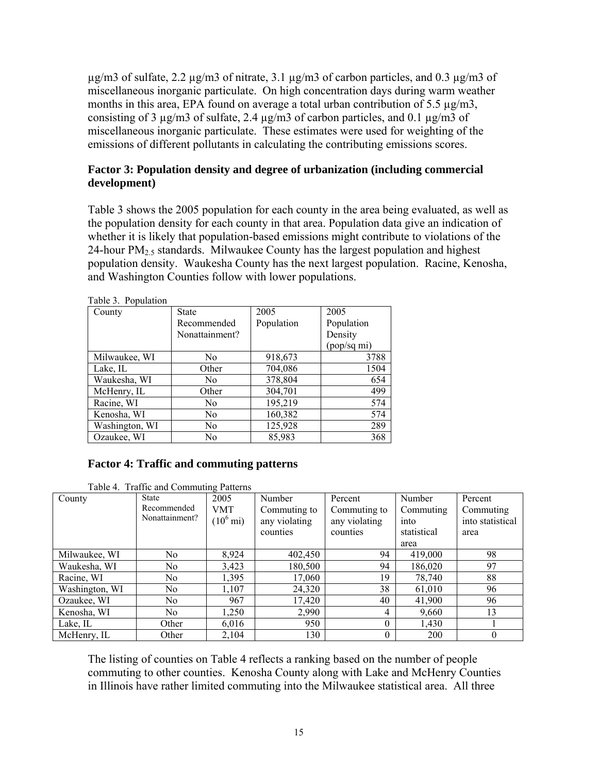$\mu$ g/m3 of sulfate, 2.2  $\mu$ g/m3 of nitrate, 3.1  $\mu$ g/m3 of carbon particles, and 0.3  $\mu$ g/m3 of miscellaneous inorganic particulate. On high concentration days during warm weather months in this area, EPA found on average a total urban contribution of 5.5 µg/m3, consisting of 3 µg/m3 of sulfate, 2.4 µg/m3 of carbon particles, and 0.1 µg/m3 of miscellaneous inorganic particulate. These estimates were used for weighting of the emissions of different pollutants in calculating the contributing emissions scores.

#### **Factor 3: Population density and degree of urbanization (including commercial development)**

Table 3 shows the 2005 population for each county in the area being evaluated, as well as the population density for each county in that area. Population data give an indication of whether it is likely that population-based emissions might contribute to violations of the 24-hour  $PM<sub>2.5</sub>$  standards. Milwaukee County has the largest population and highest population density. Waukesha County has the next largest population. Racine, Kenosha, and Washington Counties follow with lower populations.

| County         | <b>State</b>   | 2005       | 2005        |
|----------------|----------------|------------|-------------|
|                |                |            |             |
|                | Recommended    | Population | Population  |
|                | Nonattainment? |            | Density     |
|                |                |            | (pop/sq mi) |
| Milwaukee, WI  | N <sub>0</sub> | 918,673    | 3788        |
| Lake, IL       | Other          | 704,086    | 1504        |
| Waukesha, WI   | No             | 378,804    | 654         |
| McHenry, IL    | Other          | 304,701    | 499         |
| Racine, WI     | No.            | 195,219    | 574         |
| Kenosha, WI    | No.            | 160,382    | 574         |
| Washington, WI | No             | 125,928    | 289         |
| Ozaukee, WI    | No             | 85,983     | 368         |
|                |                |            |             |

Table 3. Population

#### **Factor 4: Traffic and commuting patterns**

|  |  | Table 4. Traffic and Commuting Patterns |
|--|--|-----------------------------------------|
|--|--|-----------------------------------------|

| County         | <b>State</b>   | 2005                | Number        | Percent       | Number      | Percent          |
|----------------|----------------|---------------------|---------------|---------------|-------------|------------------|
|                | Recommended    | VMT                 | Commuting to  | Commuting to  | Commuting   | Commuting        |
|                | Nonattainment? | $(10^6 \text{ mi})$ | any violating | any violating | into        | into statistical |
|                |                |                     | counties      | counties      | statistical | area             |
|                |                |                     |               |               | area        |                  |
| Milwaukee, WI  | N <sub>0</sub> | 8,924               | 402,450       | 94            | 419,000     | 98               |
| Waukesha, WI   | No             | 3,423               | 180,500       | 94            | 186,020     | 97               |
| Racine, WI     | N <sub>0</sub> | 1,395               | 17,060        | 19            | 78,740      | 88               |
| Washington, WI | N <sub>0</sub> | 1,107               | 24,320        | 38            | 61,010      | 96               |
| Ozaukee, WI    | No.            | 967                 | 17,420        | 40            | 41,900      | 96               |
| Kenosha, WI    | N <sub>0</sub> | 1,250               | 2,990         | 4             | 9,660       | 13               |
| Lake, IL       | Other          | 6,016               | 950           | $\Omega$      | 1,430       |                  |
| McHenry, IL    | Other          | 2,104               | 130           | $\theta$      | 200         | $\theta$         |

The listing of counties on Table 4 reflects a ranking based on the number of people commuting to other counties. Kenosha County along with Lake and McHenry Counties in Illinois have rather limited commuting into the Milwaukee statistical area. All three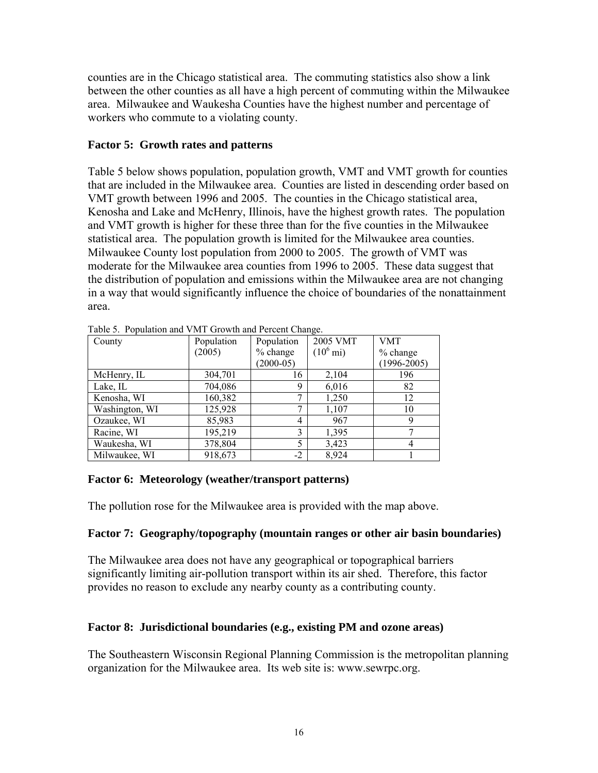counties are in the Chicago statistical area. The commuting statistics also show a link between the other counties as all have a high percent of commuting within the Milwaukee area. Milwaukee and Waukesha Counties have the highest number and percentage of workers who commute to a violating county.

### **Factor 5: Growth rates and patterns**

Table 5 below shows population, population growth, VMT and VMT growth for counties that are included in the Milwaukee area. Counties are listed in descending order based on VMT growth between 1996 and 2005. The counties in the Chicago statistical area, Kenosha and Lake and McHenry, Illinois, have the highest growth rates. The population and VMT growth is higher for these three than for the five counties in the Milwaukee statistical area. The population growth is limited for the Milwaukee area counties. Milwaukee County lost population from 2000 to 2005. The growth of VMT was moderate for the Milwaukee area counties from 1996 to 2005. These data suggest that the distribution of population and emissions within the Milwaukee area are not changing in a way that would significantly influence the choice of boundaries of the nonattainment area.

| County         | Population | Population  | 2005 VMT            | VMT             |
|----------------|------------|-------------|---------------------|-----------------|
|                | (2005)     | $%$ change  | $(10^6 \text{ mi})$ | $%$ change      |
|                |            | $(2000-05)$ |                     | $(1996 - 2005)$ |
| McHenry, IL    | 304,701    | 16          | 2,104               | 196             |
| Lake, IL       | 704,086    | 9           | 6,016               | 82              |
| Kenosha, WI    | 160,382    | ⇁           | 1,250               | 12              |
| Washington, WI | 125,928    | 7           | 1,107               | 10              |
| Ozaukee, WI    | 85,983     | 4           | 967                 |                 |
| Racine, WI     | 195,219    | 3           | 1,395               |                 |
| Waukesha, WI   | 378,804    | 5           | 3,423               |                 |
| Milwaukee, WI  | 918,673    | $-2$        | 8,924               |                 |

Table 5. Population and VMT Growth and Percent Change.

### **Factor 6: Meteorology (weather/transport patterns)**

The pollution rose for the Milwaukee area is provided with the map above.

### **Factor 7: Geography/topography (mountain ranges or other air basin boundaries)**

The Milwaukee area does not have any geographical or topographical barriers significantly limiting air-pollution transport within its air shed. Therefore, this factor provides no reason to exclude any nearby county as a contributing county.

# **Factor 8: Jurisdictional boundaries (e.g., existing PM and ozone areas)**

The Southeastern Wisconsin Regional Planning Commission is the metropolitan planning organization for the Milwaukee area. Its web site is: www.sewrpc.org.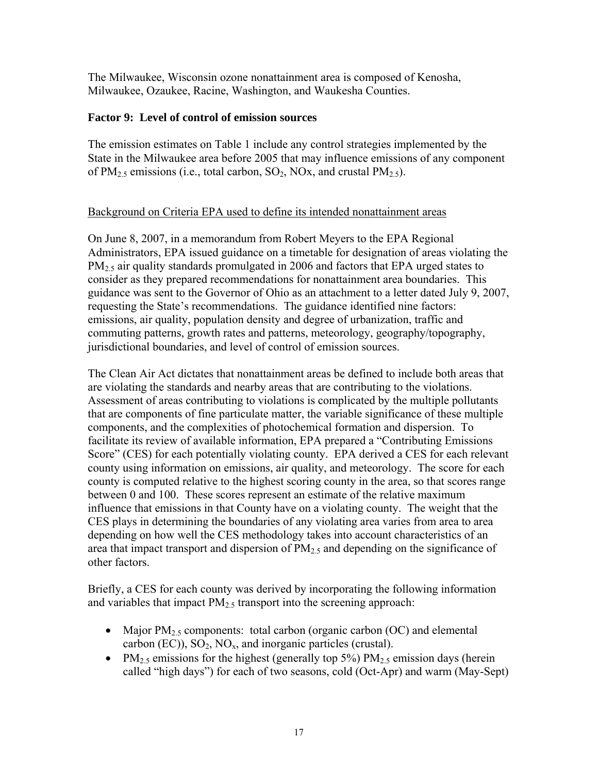The Milwaukee, Wisconsin ozone nonattainment area is composed of Kenosha, Milwaukee, Ozaukee, Racine, Washington, and Waukesha Counties.

#### **Factor 9: Level of control of emission sources**

The emission estimates on Table 1 include any control strategies implemented by the State in the Milwaukee area before 2005 that may influence emissions of any component of  $PM_{2.5}$  emissions (i.e., total carbon,  $SO_2$ , NOx, and crustal  $PM_{2.5}$ ).

#### Background on Criteria EPA used to define its intended nonattainment areas

On June 8, 2007, in a memorandum from Robert Meyers to the EPA Regional Administrators, EPA issued guidance on a timetable for designation of areas violating the PM<sub>2.5</sub> air quality standards promulgated in 2006 and factors that EPA urged states to consider as they prepared recommendations for nonattainment area boundaries. This guidance was sent to the Governor of Ohio as an attachment to a letter dated July 9, 2007, requesting the State's recommendations. The guidance identified nine factors: emissions, air quality, population density and degree of urbanization, traffic and commuting patterns, growth rates and patterns, meteorology, geography/topography, jurisdictional boundaries, and level of control of emission sources.

The Clean Air Act dictates that nonattainment areas be defined to include both areas that are violating the standards and nearby areas that are contributing to the violations. Assessment of areas contributing to violations is complicated by the multiple pollutants that are components of fine particulate matter, the variable significance of these multiple components, and the complexities of photochemical formation and dispersion. To facilitate its review of available information, EPA prepared a "Contributing Emissions Score" (CES) for each potentially violating county. EPA derived a CES for each relevant county using information on emissions, air quality, and meteorology. The score for each county is computed relative to the highest scoring county in the area, so that scores range between 0 and 100. These scores represent an estimate of the relative maximum influence that emissions in that County have on a violating county. The weight that the CES plays in determining the boundaries of any violating area varies from area to area depending on how well the CES methodology takes into account characteristics of an area that impact transport and dispersion of  $PM_{2.5}$  and depending on the significance of other factors.

Briefly, a CES for each county was derived by incorporating the following information and variables that impact  $PM<sub>2.5</sub>$  transport into the screening approach:

- Major  $PM_{2.5}$  components: total carbon (organic carbon (OC) and elemental carbon  $(EC)$ ),  $SO_2$ ,  $NO_x$ , and inorganic particles (crustal).
- PM<sub>2.5</sub> emissions for the highest (generally top 5%) PM<sub>2.5</sub> emission days (herein called "high days") for each of two seasons, cold (Oct-Apr) and warm (May-Sept)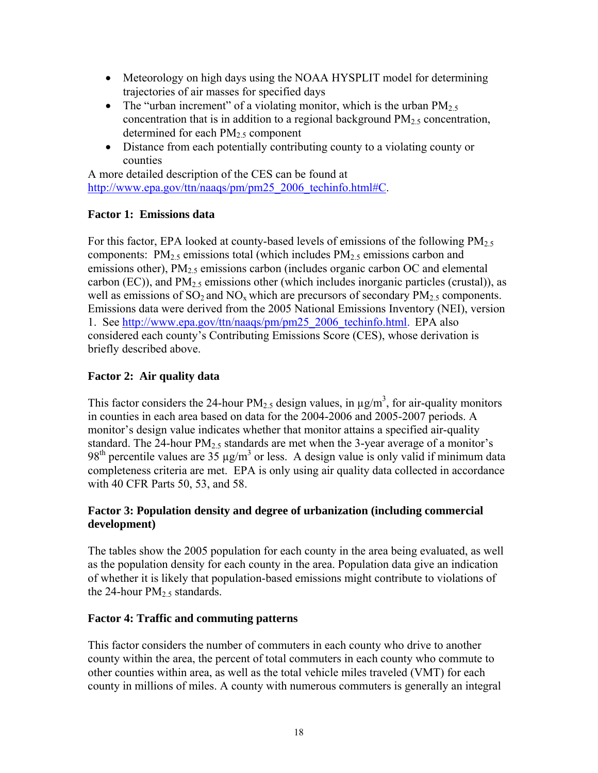- Meteorology on high days using the NOAA HYSPLIT model for determining trajectories of air masses for specified days
- The "urban increment" of a violating monitor, which is the urban  $PM_{2.5}$ concentration that is in addition to a regional background  $PM<sub>2.5</sub>$  concentration, determined for each  $PM_{2.5}$  component
- Distance from each potentially contributing county to a violating county or counties

A more detailed description of the CES can be found at http://www.epa.gov/ttn/naaqs/pm/pm25\_2006\_techinfo.html#C.

# **Factor 1: Emissions data**

For this factor, EPA looked at county-based levels of emissions of the following  $PM_{2.5}$ components:  $PM_2$ <sub>5</sub> emissions total (which includes  $PM_2$ <sub>5</sub> emissions carbon and emissions other), PM<sub>2.5</sub> emissions carbon (includes organic carbon OC and elemental carbon (EC)), and  $PM_{2.5}$  emissions other (which includes inorganic particles (crustal)), as well as emissions of  $SO_2$  and  $NO_x$  which are precursors of secondary  $PM_{2.5}$  components. Emissions data were derived from the 2005 National Emissions Inventory (NEI), version 1. See http://www.epa.gov/ttn/naaqs/pm/pm25\_2006\_techinfo.html. EPA also considered each county's Contributing Emissions Score (CES), whose derivation is briefly described above.

# **Factor 2: Air quality data**

This factor considers the 24-hour PM<sub>2.5</sub> design values, in  $\mu$ g/m<sup>3</sup>, for air-quality monitors in counties in each area based on data for the 2004-2006 and 2005-2007 periods. A monitor's design value indicates whether that monitor attains a specified air-quality standard. The 24-hour PM<sub>2.5</sub> standards are met when the 3-year average of a monitor's 98<sup>th</sup> percentile values are 35  $\mu$ g/m<sup>3</sup> or less. A design value is only valid if minimum data completeness criteria are met. EPA is only using air quality data collected in accordance with 40 CFR Parts 50, 53, and 58.

## **Factor 3: Population density and degree of urbanization (including commercial development)**

The tables show the 2005 population for each county in the area being evaluated, as well as the population density for each county in the area. Population data give an indication of whether it is likely that population-based emissions might contribute to violations of the 24-hour  $PM_2$  s standards.

# **Factor 4: Traffic and commuting patterns**

This factor considers the number of commuters in each county who drive to another county within the area, the percent of total commuters in each county who commute to other counties within area, as well as the total vehicle miles traveled (VMT) for each county in millions of miles. A county with numerous commuters is generally an integral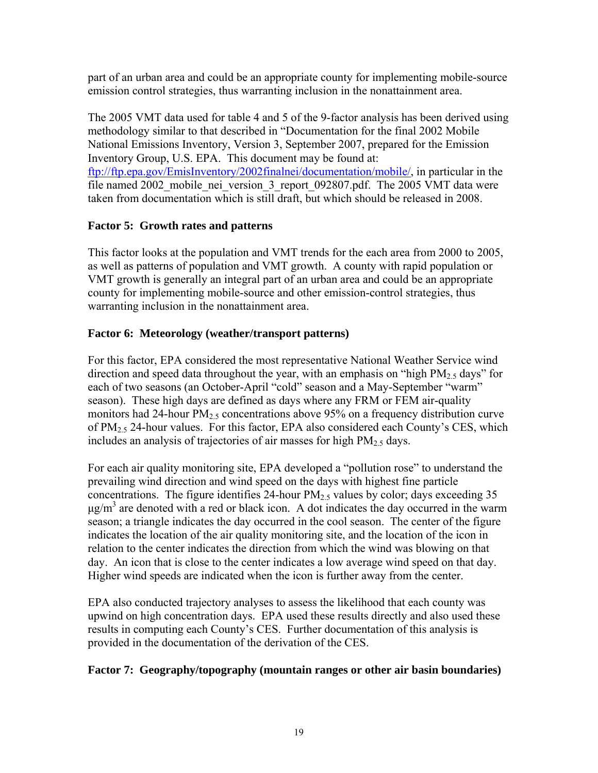part of an urban area and could be an appropriate county for implementing mobile-source emission control strategies, thus warranting inclusion in the nonattainment area.

The 2005 VMT data used for table 4 and 5 of the 9-factor analysis has been derived using methodology similar to that described in "Documentation for the final 2002 Mobile National Emissions Inventory, Version 3, September 2007, prepared for the Emission Inventory Group, U.S. EPA. This document may be found at: ftp://ftp.epa.gov/EmisInventory/2002finalnei/documentation/mobile/, in particular in the file named 2002 mobile nei version 3 report 092807.pdf. The 2005 VMT data were taken from documentation which is still draft, but which should be released in 2008.

## **Factor 5: Growth rates and patterns**

This factor looks at the population and VMT trends for the each area from 2000 to 2005, as well as patterns of population and VMT growth. A county with rapid population or VMT growth is generally an integral part of an urban area and could be an appropriate county for implementing mobile-source and other emission-control strategies, thus warranting inclusion in the nonattainment area.

## **Factor 6: Meteorology (weather/transport patterns)**

For this factor, EPA considered the most representative National Weather Service wind direction and speed data throughout the year, with an emphasis on "high  $PM_{2.5}$  days" for each of two seasons (an October-April "cold" season and a May-September "warm" season). These high days are defined as days where any FRM or FEM air-quality monitors had 24-hour  $PM_{2.5}$  concentrations above 95% on a frequency distribution curve of  $PM<sub>2.5</sub>$  24-hour values. For this factor, EPA also considered each County's CES, which includes an analysis of trajectories of air masses for high  $PM<sub>25</sub>$  days.

For each air quality monitoring site, EPA developed a "pollution rose" to understand the prevailing wind direction and wind speed on the days with highest fine particle concentrations. The figure identifies 24-hour  $PM<sub>2.5</sub>$  values by color; days exceeding 35  $\mu$ g/m<sup>3</sup> are denoted with a red or black icon. A dot indicates the day occurred in the warm season; a triangle indicates the day occurred in the cool season. The center of the figure indicates the location of the air quality monitoring site, and the location of the icon in relation to the center indicates the direction from which the wind was blowing on that day. An icon that is close to the center indicates a low average wind speed on that day. Higher wind speeds are indicated when the icon is further away from the center.

EPA also conducted trajectory analyses to assess the likelihood that each county was upwind on high concentration days. EPA used these results directly and also used these results in computing each County's CES. Further documentation of this analysis is provided in the documentation of the derivation of the CES.

### **Factor 7: Geography/topography (mountain ranges or other air basin boundaries)**